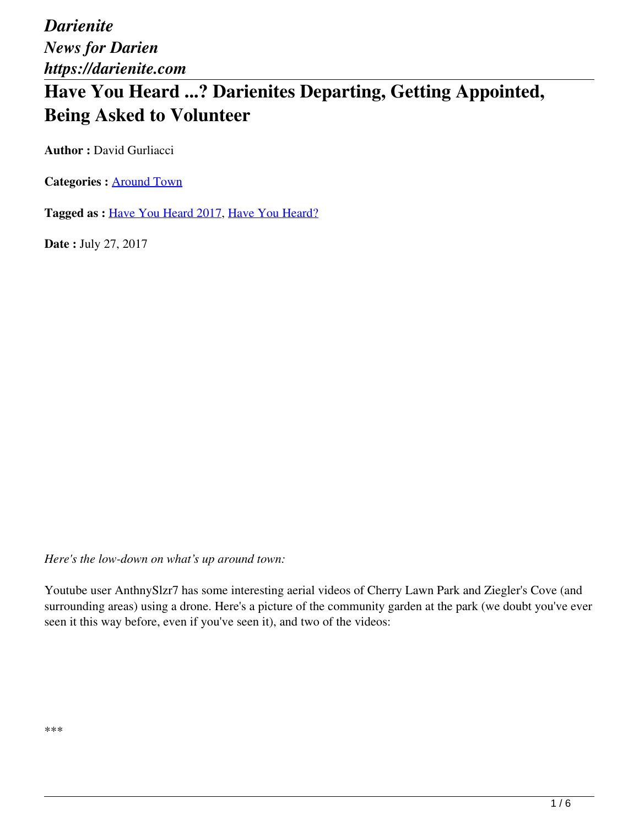# **Have You Heard ...? Darienites Departing, Getting Appointed, Being Asked to Volunteer**

**Author : David Gurliacci** 

**Categories :** [Around Town](https://darienite.com/category/news/around-town)

**Tagged as :** Have You Heard 2017, Have You Heard?

**Date :** July 27, 2017

*Here's the low-down on what's up around town:*

Youtube user AnthnySlzr7 has some interesting aerial videos of Cherry Lawn Park and Ziegler's Cove (and surrounding areas) using a drone. Here's a picture of the community garden at the park (we doubt you've ever seen it this way before, even if you've seen it), and two of the videos: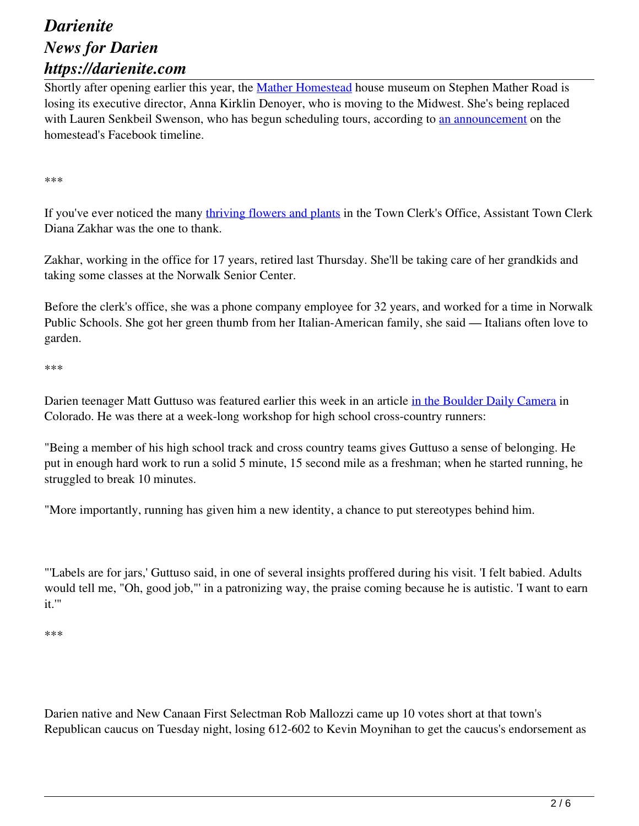Shortly after opening earlier this year, the Mather Homestead house museum on Stephen Mather Road is losing its executive director, Anna Kirklin Denoyer, who is moving to the Midwest. She's being replaced with Lauren Senkbeil Swenson, who has begun scheduling tours, according to an announcement on the homestead's Facebook timeline.

\*\*\*

If you've ever noticed the many thriving flowers and plants in the Town Clerk's Office, Assistant Town Clerk Diana Zakhar was the one to thank.

Zakhar, working in the office for 17 years, retired last Thursday. She'll be taking care of her grandkids and taking some classes at the Norwalk Senior Center.

Before the clerk's office, she was a phone company employee for 32 years, and worked for a time in Norwalk Public Schools. She got her green thumb from her Italian-American family, she said — Italians often love to garden.

\*\*\*

Darien teenager Matt Guttuso was featured earlier this week in an article in the Boulder Daily Camera in Colorado. He was there at a week-long workshop for high school cross-country runners:

"Being a member of his high school track and cross country teams gives Guttuso a sense of belonging. He put in enough hard work to run a solid 5 minute, 15 second mile as a freshman; when he started running, he struggled to break 10 minutes.

"More importantly, running has given him a new identity, a chance to put stereotypes behind him.

"'Labels are for jars,' Guttuso said, in one of several insights proffered during his visit. 'I felt babied. Adults would tell me, "Oh, good job,"' in a patronizing way, the praise coming because he is autistic. 'I want to earn it.'"

\*\*\*

Darien native and New Canaan First Selectman Rob Mallozzi came up 10 votes short at that town's Republican caucus on Tuesday night, losing 612-602 to Kevin Moynihan to get the caucus's endorsement as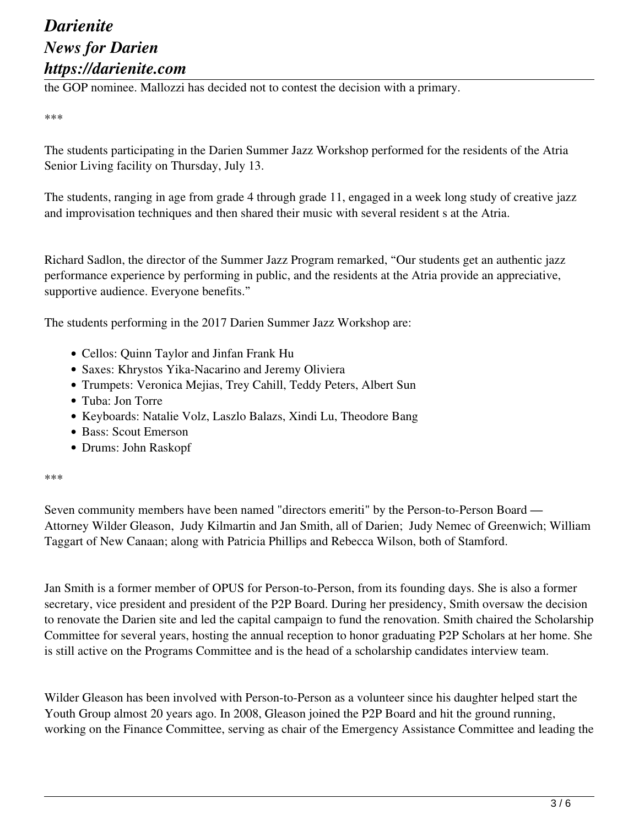the GOP nominee. Mallozzi has decided not to contest the decision with a primary.

#### \*\*\*

The students participating in the Darien Summer Jazz Workshop performed for the residents of the Atria Senior Living facility on Thursday, July 13.

The students, ranging in age from grade 4 through grade 11, engaged in a week long study of creative jazz and improvisation techniques and then shared their music with several resident s at the Atria.

Richard Sadlon, the director of the Summer Jazz Program remarked, "Our students get an authentic jazz performance experience by performing in public, and the residents at the Atria provide an appreciative, supportive audience. Everyone benefits."

The students performing in the 2017 Darien Summer Jazz Workshop are:

- Cellos: Quinn Taylor and Jinfan Frank Hu
- Saxes: Khrystos Yika-Nacarino and Jeremy Oliviera
- Trumpets: Veronica Mejias, Trey Cahill, Teddy Peters, Albert Sun
- Tuba: Jon Torre
- Keyboards: Natalie Volz, Laszlo Balazs, Xindi Lu, Theodore Bang
- Bass: Scout Emerson
- Drums: John Raskopf

### \*\*\*

Seven community members have been named "directors emeriti" by the Person-to-Person Board — Attorney Wilder Gleason, Judy Kilmartin and Jan Smith, all of Darien; Judy Nemec of Greenwich; William Taggart of New Canaan; along with Patricia Phillips and Rebecca Wilson, both of Stamford.

Jan Smith is a former member of OPUS for Person-to-Person, from its founding days. She is also a former secretary, vice president and president of the P2P Board. During her presidency, Smith oversaw the decision to renovate the Darien site and led the capital campaign to fund the renovation. Smith chaired the Scholarship Committee for several years, hosting the annual reception to honor graduating P2P Scholars at her home. She is still active on the Programs Committee and is the head of a scholarship candidates interview team.

Wilder Gleason has been involved with Person-to-Person as a volunteer since his daughter helped start the Youth Group almost 20 years ago. In 2008, Gleason joined the P2P Board and hit the ground running, working on the Finance Committee, serving as chair of the Emergency Assistance Committee and leading the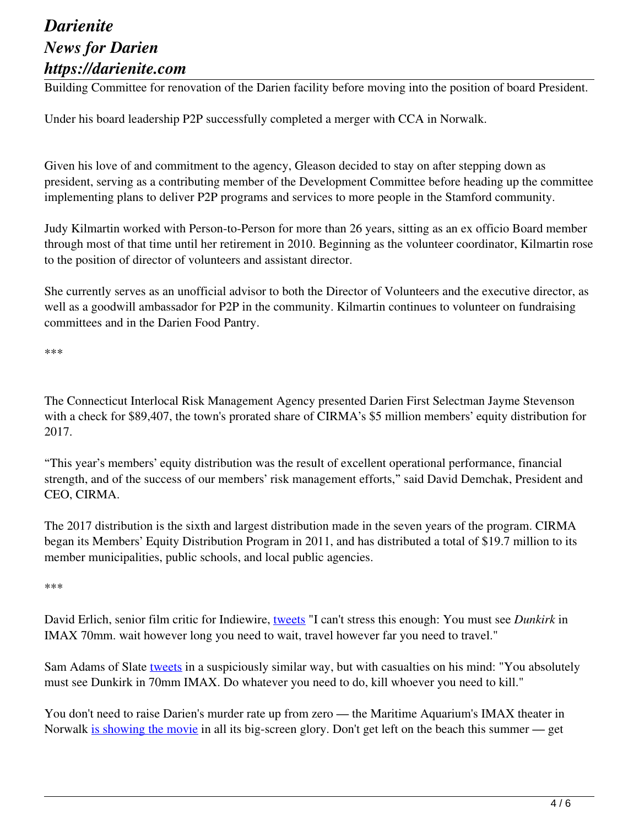Building Committee for renovation of the Darien facility before moving into the position of board President.

Under his board leadership P2P successfully completed a merger with CCA in Norwalk.

Given his love of and commitment to the agency, Gleason decided to stay on after stepping down as president, serving as a contributing member of the Development Committee before heading up the committee implementing plans to deliver P2P programs and services to more people in the Stamford community.

Judy Kilmartin worked with Person-to-Person for more than 26 years, sitting as an ex officio Board member through most of that time until her retirement in 2010. Beginning as the volunteer coordinator, Kilmartin rose to the position of director of volunteers and assistant director.

She currently serves as an unofficial advisor to both the Director of Volunteers and the executive director, as well as a goodwill ambassador for P2P in the community. Kilmartin continues to volunteer on fundraising committees and in the Darien Food Pantry.

\*\*\*

The Connecticut Interlocal Risk Management Agency presented Darien First Selectman Jayme Stevenson with a check for \$89,407, the town's prorated share of CIRMA's \$5 million members' equity distribution for 2017.

"This year's members' equity distribution was the result of excellent operational performance, financial strength, and of the success of our members' risk management efforts," said David Demchak, President and CEO, CIRMA.

The 2017 distribution is the sixth and largest distribution made in the seven years of the program. CIRMA began its Members' Equity Distribution Program in 2011, and has distributed a total of \$19.7 million to its member municipalities, public schools, and local public agencies.

\*\*\*

David Erlich, senior film critic for Indiewire, tweets "I can't stress this enough: You must see *Dunkirk* in IMAX 70mm. wait however long you need to wait, travel however far you need to travel."

Sam Adams of Slate tweets in a suspiciously similar way, but with casualties on his mind: "You absolutely must see Dunkirk in 70mm IMAX. Do whatever you need to do, kill whoever you need to kill."

You don't need to raise Darien's murder rate up from zero — the Maritime Aquarium's IMAX theater in Norwalk is showing the movie in all its big-screen glory. Don't get left on the beach this summer — get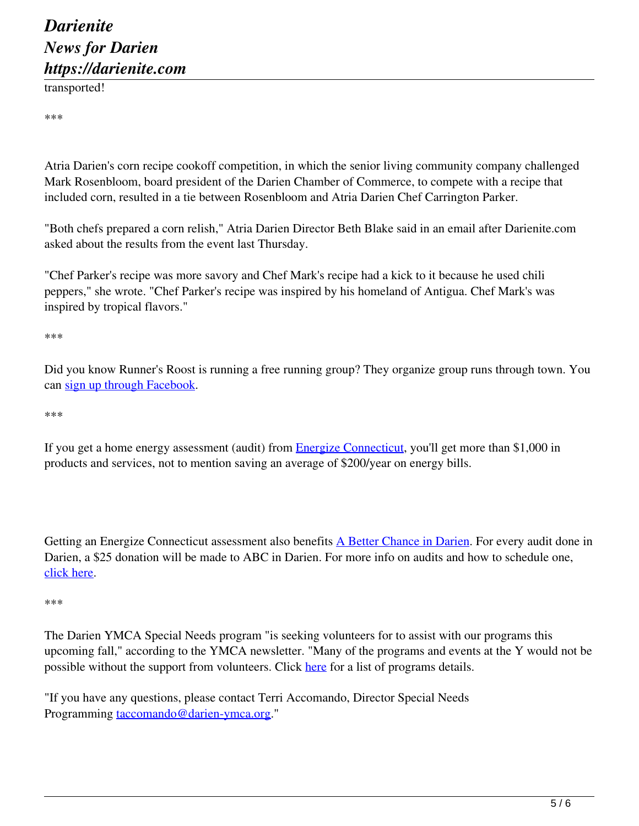transported!

\*\*\*

Atria Darien's corn recipe cookoff competition, in which the senior living community company challenged Mark Rosenbloom, board president of the Darien Chamber of Commerce, to compete with a recipe that included corn, resulted in a tie between Rosenbloom and Atria Darien Chef Carrington Parker.

"Both chefs prepared a corn relish," Atria Darien Director Beth Blake said in an email after Darienite.com asked about the results from the event last Thursday.

"Chef Parker's recipe was more savory and Chef Mark's recipe had a kick to it because he used chili peppers," she wrote. "Chef Parker's recipe was inspired by his homeland of Antigua. Chef Mark's was inspired by tropical flavors."

\*\*\*

Did you know Runner's Roost is running a free running group? They organize group runs through town. You can sign up through Facebook.

\*\*\*

If you get a home energy assessment (audit) from **Energize Connecticut**, you'll get more than \$1,000 in products and services, not to mention saving an average of \$200/year on energy bills.

Getting an Energize Connecticut assessment also benefits A Better Chance in Darien. For every audit done in Darien, a \$25 donation will be made to ABC in Darien. For more info on audits and how to schedule one, click here.

\*\*\*

The Darien YMCA Special Needs program "is seeking volunteers for to assist with our programs this upcoming fall," according to the YMCA newsletter. "Many of the programs and events at the Y would not be possible without the support from volunteers. Click here for a list of programs details.

"If you have any questions, please contact Terri Accomando, Director Special Needs Programming taccomando@darien-ymca.org."